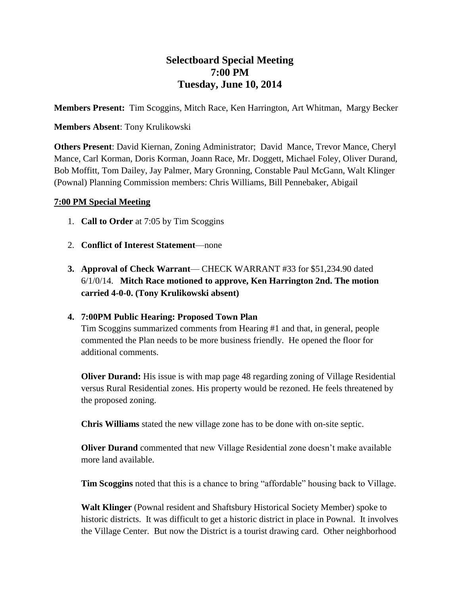# **Selectboard Special Meeting 7:00 PM Tuesday, June 10, 2014**

**Members Present:** Tim Scoggins, Mitch Race, Ken Harrington, Art Whitman, Margy Becker

#### **Members Absent**: Tony Krulikowski

**Others Present**: David Kiernan, Zoning Administrator; David Mance, Trevor Mance, Cheryl Mance, Carl Korman, Doris Korman, Joann Race, Mr. Doggett, Michael Foley, Oliver Durand, Bob Moffitt, Tom Dailey, Jay Palmer, Mary Gronning, Constable Paul McGann, Walt Klinger (Pownal) Planning Commission members: Chris Williams, Bill Pennebaker, Abigail

#### **7:00 PM Special Meeting**

- 1. **Call to Order** at 7:05 by Tim Scoggins
- 2. **Conflict of Interest Statement**—none
- **3. Approval of Check Warrant** CHECK WARRANT #33 for \$51,234.90 dated 6/1/0/14. **Mitch Race motioned to approve, Ken Harrington 2nd. The motion carried 4-0-0. (Tony Krulikowski absent)**

### **4. 7:00PM Public Hearing: Proposed Town Plan**

Tim Scoggins summarized comments from Hearing #1 and that, in general, people commented the Plan needs to be more business friendly. He opened the floor for additional comments.

**Oliver Durand:** His issue is with map page 48 regarding zoning of Village Residential versus Rural Residential zones. His property would be rezoned. He feels threatened by the proposed zoning.

**Chris Williams** stated the new village zone has to be done with on-site septic.

**Oliver Durand** commented that new Village Residential zone doesn't make available more land available.

**Tim Scoggins** noted that this is a chance to bring "affordable" housing back to Village.

**Walt Klinger** (Pownal resident and Shaftsbury Historical Society Member) spoke to historic districts. It was difficult to get a historic district in place in Pownal. It involves the Village Center. But now the District is a tourist drawing card. Other neighborhood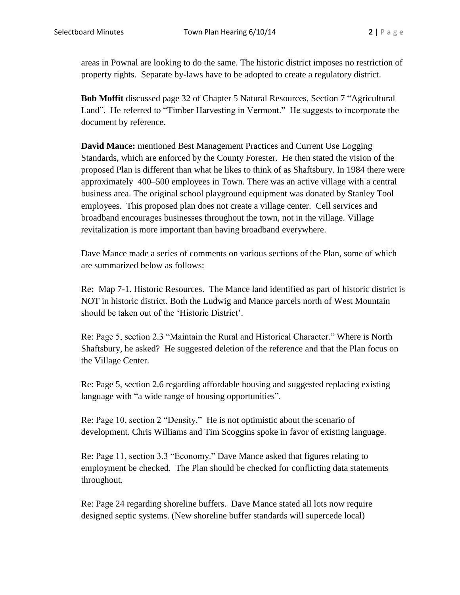areas in Pownal are looking to do the same. The historic district imposes no restriction of property rights. Separate by-laws have to be adopted to create a regulatory district.

**Bob Moffit** discussed page 32 of Chapter 5 Natural Resources, Section 7 "Agricultural Land". He referred to "Timber Harvesting in Vermont." He suggests to incorporate the document by reference.

**David Mance:** mentioned Best Management Practices and Current Use Logging Standards, which are enforced by the County Forester. He then stated the vision of the proposed Plan is different than what he likes to think of as Shaftsbury. In 1984 there were approximately 400–500 employees in Town. There was an active village with a central business area. The original school playground equipment was donated by Stanley Tool employees. This proposed plan does not create a village center. Cell services and broadband encourages businesses throughout the town, not in the village. Village revitalization is more important than having broadband everywhere.

Dave Mance made a series of comments on various sections of the Plan, some of which are summarized below as follows:

Re**:** Map 7-1. Historic Resources. The Mance land identified as part of historic district is NOT in historic district. Both the Ludwig and Mance parcels north of West Mountain should be taken out of the 'Historic District'.

Re: Page 5, section 2.3 "Maintain the Rural and Historical Character." Where is North Shaftsbury, he asked? He suggested deletion of the reference and that the Plan focus on the Village Center.

Re: Page 5, section 2.6 regarding affordable housing and suggested replacing existing language with "a wide range of housing opportunities".

Re: Page 10, section 2 "Density." He is not optimistic about the scenario of development. Chris Williams and Tim Scoggins spoke in favor of existing language.

Re: Page 11, section 3.3 "Economy." Dave Mance asked that figures relating to employment be checked. The Plan should be checked for conflicting data statements throughout.

Re: Page 24 regarding shoreline buffers. Dave Mance stated all lots now require designed septic systems. (New shoreline buffer standards will supercede local)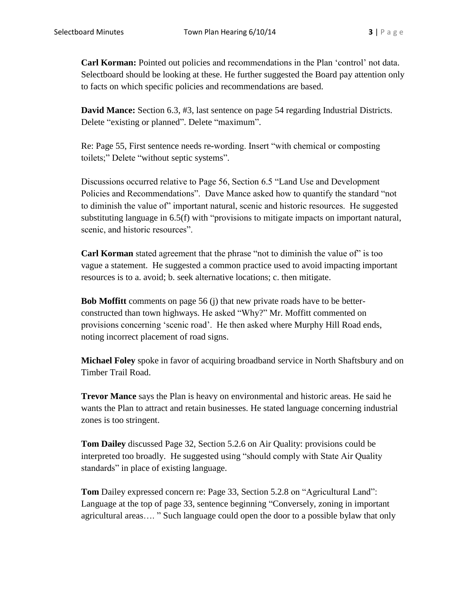**Carl Korman:** Pointed out policies and recommendations in the Plan 'control' not data. Selectboard should be looking at these. He further suggested the Board pay attention only to facts on which specific policies and recommendations are based.

**David Mance:** Section 6.3, #3, last sentence on page 54 regarding Industrial Districts. Delete "existing or planned". Delete "maximum".

Re: Page 55, First sentence needs re**-**wording. Insert "with chemical or composting toilets;" Delete "without septic systems".

Discussions occurred relative to Page 56, Section 6.5 "Land Use and Development Policies and Recommendations". Dave Mance asked how to quantify the standard "not to diminish the value of" important natural, scenic and historic resources. He suggested substituting language in 6.5(f) with "provisions to mitigate impacts on important natural, scenic, and historic resources".

**Carl Korman** stated agreement that the phrase "not to diminish the value of" is too vague a statement. He suggested a common practice used to avoid impacting important resources is to a. avoid; b. seek alternative locations; c. then mitigate.

**Bob Moffitt** comments on page 56 (j) that new private roads have to be betterconstructed than town highways. He asked "Why?" Mr. Moffitt commented on provisions concerning 'scenic road'. He then asked where Murphy Hill Road ends, noting incorrect placement of road signs.

**Michael Foley** spoke in favor of acquiring broadband service in North Shaftsbury and on Timber Trail Road.

**Trevor Mance** says the Plan is heavy on environmental and historic areas. He said he wants the Plan to attract and retain businesses. He stated language concerning industrial zones is too stringent.

**Tom Dailey** discussed Page 32, Section 5.2.6 on Air Quality: provisions could be interpreted too broadly. He suggested using "should comply with State Air Quality standards" in place of existing language.

**Tom** Dailey expressed concern re: Page 33, Section 5.2.8 on "Agricultural Land": Language at the top of page 33, sentence beginning "Conversely, zoning in important agricultural areas…. " Such language could open the door to a possible bylaw that only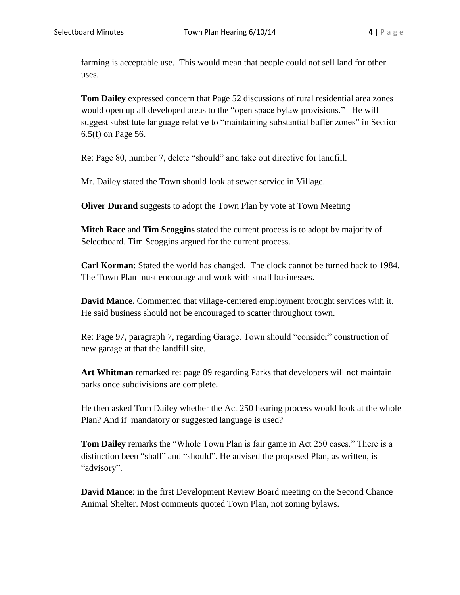farming is acceptable use. This would mean that people could not sell land for other uses.

**Tom Dailey** expressed concern that Page 52 discussions of rural residential area zones would open up all developed areas to the "open space bylaw provisions." He will suggest substitute language relative to "maintaining substantial buffer zones" in Section 6.5(f) on Page 56.

Re: Page 80, number 7, delete "should" and take out directive for landfill.

Mr. Dailey stated the Town should look at sewer service in Village.

**Oliver Durand** suggests to adopt the Town Plan by vote at Town Meeting

**Mitch Race** and **Tim Scoggins** stated the current process is to adopt by majority of Selectboard. Tim Scoggins argued for the current process.

**Carl Korman**: Stated the world has changed. The clock cannot be turned back to 1984. The Town Plan must encourage and work with small businesses.

**David Mance.** Commented that village-centered employment brought services with it. He said business should not be encouraged to scatter throughout town.

Re: Page 97, paragraph 7, regarding Garage. Town should "consider" construction of new garage at that the landfill site.

**Art Whitman** remarked re: page 89 regarding Parks that developers will not maintain parks once subdivisions are complete.

He then asked Tom Dailey whether the Act 250 hearing process would look at the whole Plan? And if mandatory or suggested language is used?

**Tom Dailey** remarks the "Whole Town Plan is fair game in Act 250 cases." There is a distinction been "shall" and "should". He advised the proposed Plan, as written, is "advisory".

**David Mance**: in the first Development Review Board meeting on the Second Chance Animal Shelter. Most comments quoted Town Plan, not zoning bylaws.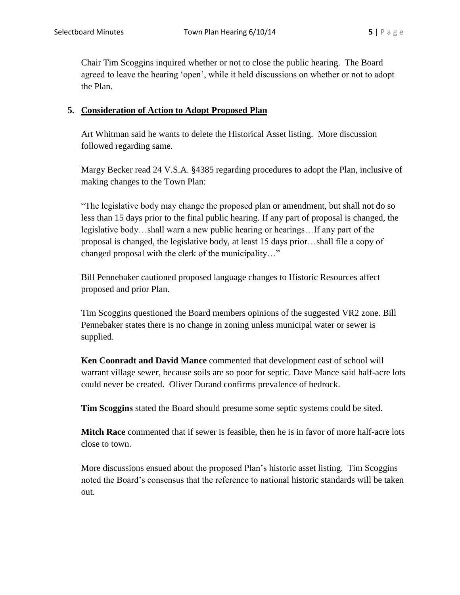Chair Tim Scoggins inquired whether or not to close the public hearing. The Board agreed to leave the hearing 'open', while it held discussions on whether or not to adopt the Plan.

### **5. Consideration of Action to Adopt Proposed Plan**

Art Whitman said he wants to delete the Historical Asset listing. More discussion followed regarding same.

Margy Becker read 24 V.S.A. §4385 regarding procedures to adopt the Plan, inclusive of making changes to the Town Plan:

"The legislative body may change the proposed plan or amendment, but shall not do so less than 15 days prior to the final public hearing. If any part of proposal is changed, the legislative body…shall warn a new public hearing or hearings…If any part of the proposal is changed, the legislative body, at least 15 days prior…shall file a copy of changed proposal with the clerk of the municipality…"

Bill Pennebaker cautioned proposed language changes to Historic Resources affect proposed and prior Plan.

Tim Scoggins questioned the Board members opinions of the suggested VR2 zone. Bill Pennebaker states there is no change in zoning unless municipal water or sewer is supplied.

**Ken Coonradt and David Mance** commented that development east of school will warrant village sewer, because soils are so poor for septic. Dave Mance said half-acre lots could never be created. Oliver Durand confirms prevalence of bedrock.

**Tim Scoggins** stated the Board should presume some septic systems could be sited.

**Mitch Race** commented that if sewer is feasible, then he is in favor of more half-acre lots close to town.

More discussions ensued about the proposed Plan's historic asset listing. Tim Scoggins noted the Board's consensus that the reference to national historic standards will be taken out.